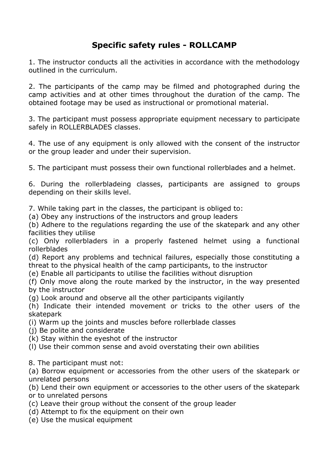## **Specific safety rules - ROLLCAMP**

1. The instructor conducts all the activities in accordance with the methodology outlined in the curriculum.

2. The participants of the camp may be filmed and photographed during the camp activities and at other times throughout the duration of the camp. The obtained footage may be used as instructional or promotional material.

3. The participant must possess appropriate equipment necessary to participate safely in ROLLERBLADES classes.

4. The use of any equipment is only allowed with the consent of the instructor or the group leader and under their supervision.

5. The participant must possess their own functional rollerblades and a helmet.

6. During the rollerbladeing classes, participants are assigned to groups depending on their skills level.

7. While taking part in the classes, the participant is obliged to:

(a) Obey any instructions of the instructors and group leaders

(b) Adhere to the regulations regarding the use of the skatepark and any other facilities they utilise

(c) Only rollerbladers in a properly fastened helmet using a functional rollerblades

(d) Report any problems and technical failures, especially those constituting a threat to the physical health of the camp participants, to the instructor

(e) Enable all participants to utilise the facilities without disruption

(f) Only move along the route marked by the instructor, in the way presented by the instructor

(g) Look around and observe all the other participants vigilantly

(h) Indicate their intended movement or tricks to the other users of the skatepark

(i) Warm up the joints and muscles before rollerblade classes

(j) Be polite and considerate

(k) Stay within the eyeshot of the instructor

(l) Use their common sense and avoid overstating their own abilities

8. The participant must not:

(a) Borrow equipment or accessories from the other users of the skatepark or unrelated persons

(b) Lend their own equipment or accessories to the other users of the skatepark or to unrelated persons

- (c) Leave their group without the consent of the group leader
- (d) Attempt to fix the equipment on their own
- (e) Use the musical equipment